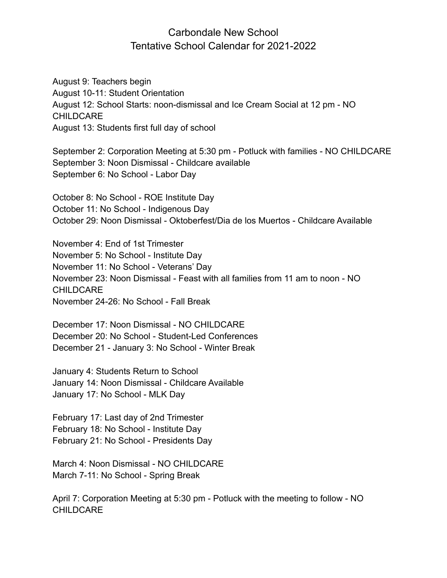## Carbondale New School Tentative School Calendar for 2021-2022

August 9: Teachers begin August 10-11: Student Orientation August 12: School Starts: noon-dismissal and Ice Cream Social at 12 pm - NO CHILDCARE August 13: Students first full day of school

September 2: Corporation Meeting at 5:30 pm - Potluck with families - NO CHILDCARE September 3: Noon Dismissal - Childcare available September 6: No School - Labor Day

October 8: No School - ROE Institute Day October 11: No School - Indigenous Day October 29: Noon Dismissal - Oktoberfest/Dia de los Muertos - Childcare Available

November 4: End of 1st Trimester November 5: No School - Institute Day November 11: No School - Veterans' Day November 23: Noon Dismissal - Feast with all families from 11 am to noon - NO **CHILDCARE** November 24-26: No School - Fall Break

December 17: Noon Dismissal - NO CHILDCARE December 20: No School - Student-Led Conferences December 21 - January 3: No School - Winter Break

January 4: Students Return to School January 14: Noon Dismissal - Childcare Available January 17: No School - MLK Day

February 17: Last day of 2nd Trimester February 18: No School - Institute Day February 21: No School - Presidents Day

March 4: Noon Dismissal - NO CHILDCARE March 7-11: No School - Spring Break

April 7: Corporation Meeting at 5:30 pm - Potluck with the meeting to follow - NO CHILDCARE